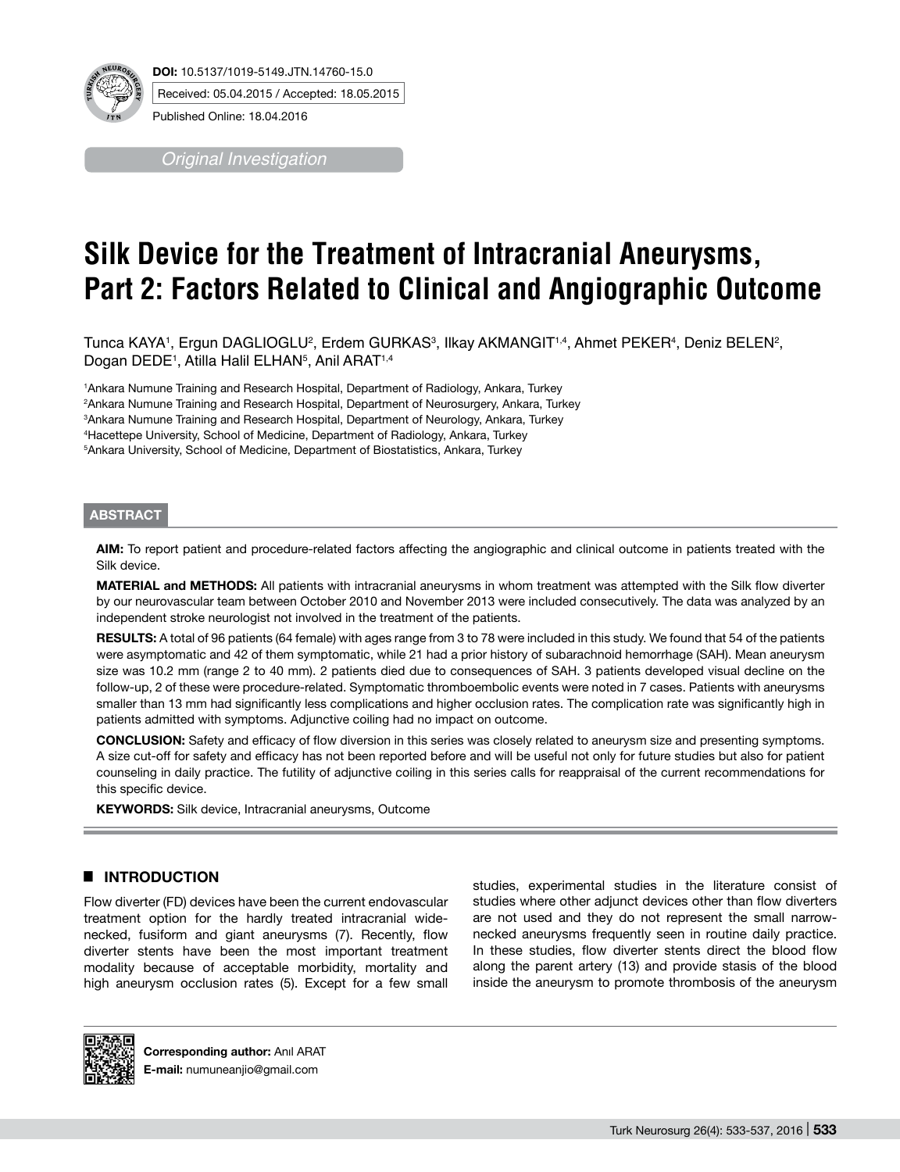Received: 05.04.2015 / Accepted: 18.05.2015

Published Online: 18.04.2016

*Original Investigation*

# **Silk Device for the Treatment of Intracranial Aneurysms, Part 2: Factors Related to Clinical and Angiographic Outcome**

Tunca KAYA', Ergun DAGLIOGLU<sup>2</sup>, Erdem GURKAS<sup>3</sup>, Ilkay AKMANGIT'<sup>,4</sup>, Ahmet PEKER<del>'</del>, Deniz BELEN<sup>2</sup>, Dogan DEDE1 , Atilla Halil ELHAN5 , Anil ARAT1,4

 Ankara Numune Training and Research Hospital, Department of Radiology, Ankara, Turkey Ankara Numune Training and Research Hospital, Department of Neurosurgery, Ankara, Turkey Ankara Numune Training and Research Hospital, Department of Neurology, Ankara, Turkey Hacettepe University, School of Medicine, Department of Radiology, Ankara, Turkey Ankara University, School of Medicine, Department of Biostatistics, Ankara, Turkey

## **ABSTRACT**

**AIm:** To report patient and procedure-related factors affecting the angiographic and clinical outcome in patients treated with the Silk device.

**MaterIal and Methods:** All patients with intracranial aneurysms in whom treatment was attempted with the Silk flow diverter by our neurovascular team between October 2010 and November 2013 were included consecutively. The data was analyzed by an independent stroke neurologist not involved in the treatment of the patients.

RESULTS: A total of 96 patients (64 female) with ages range from 3 to 78 were included in this study. We found that 54 of the patients were asymptomatic and 42 of them symptomatic, while 21 had a prior history of subarachnoid hemorrhage (SAH). Mean aneurysm size was 10.2 mm (range 2 to 40 mm). 2 patients died due to consequences of SAH. 3 patients developed visual decline on the follow-up, 2 of these were procedure-related. Symptomatic thromboembolic events were noted in 7 cases. Patients with aneurysms smaller than 13 mm had significantly less complications and higher occlusion rates. The complication rate was significantly high in patients admitted with symptoms. Adjunctive coiling had no impact on outcome.

**ConclusIon:** Safety and efficacy of flow diversion in this series was closely related to aneurysm size and presenting symptoms. A size cut-off for safety and efficacy has not been reported before and will be useful not only for future studies but also for patient counseling in daily practice. The futility of adjunctive coiling in this series calls for reappraisal of the current recommendations for this specific device.

**KEYWORDS:** Silk device, Intracranial aneurysms, Outcome

## **E INTRODUCTION**

Flow diverter (FD) devices have been the current endovascular treatment option for the hardly treated intracranial widenecked, fusiform and giant aneurysms (7). Recently, flow diverter stents have been the most important treatment modality because of acceptable morbidity, mortality and high aneurysm occlusion rates (5). Except for a few small studies, experimental studies in the literature consist of studies where other adjunct devices other than flow diverters are not used and they do not represent the small narrownecked aneurysms frequently seen in routine daily practice. In these studies, flow diverter stents direct the blood flow along the parent artery (13) and provide stasis of the blood inside the aneurysm to promote thrombosis of the aneurysm



**Corresponding author:** Anıl ARAT **E-mail:** numuneanjio@gmail.com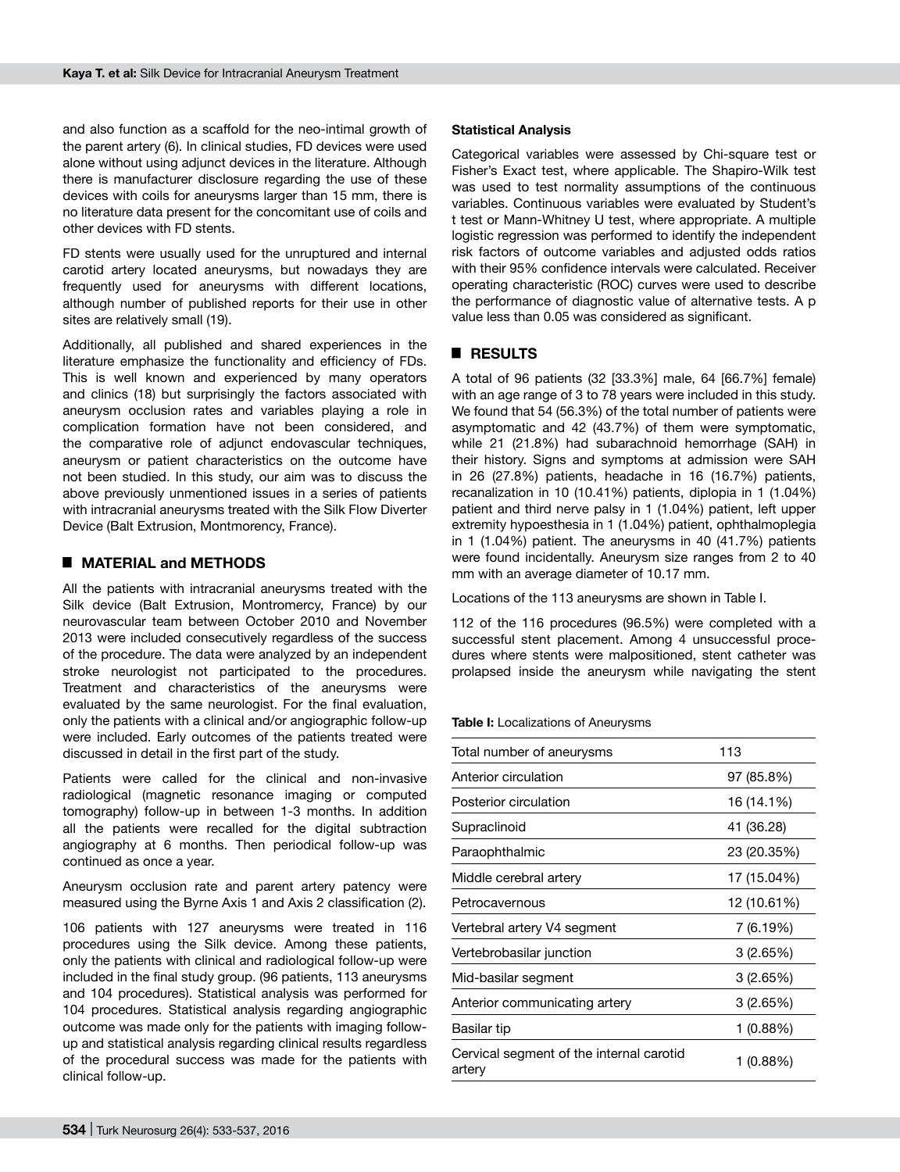and also function as a scaffold for the neo-intimal growth of the parent artery (6). In clinical studies, FD devices were used alone without using adjunct devices in the literature. Although there is manufacturer disclosure regarding the use of these devices with coils for aneurysms larger than 15 mm, there is no literature data present for the concomitant use of coils and other devices with FD stents.

FD stents were usually used for the unruptured and internal carotid artery located aneurysms, but nowadays they are frequently used for aneurysms with different locations, although number of published reports for their use in other sites are relatively small (19).

Additionally, all published and shared experiences in the literature emphasize the functionality and efficiency of FDs. This is well known and experienced by many operators and clinics (18) but surprisingly the factors associated with aneurysm occlusion rates and variables playing a role in complication formation have not been considered, and the comparative role of adjunct endovascular techniques, aneurysm or patient characteristics on the outcome have not been studied. In this study, our aim was to discuss the above previously unmentioned issues in a series of patients with intracranial aneurysms treated with the Silk Flow Diverter Device (Balt Extrusion, Montmorency, France).

## █ **MATERIAL and METHODS**

All the patients with intracranial aneurysms treated with the Silk device (Balt Extrusion, Montromercy, France) by our neurovascular team between October 2010 and November 2013 were included consecutively regardless of the success of the procedure. The data were analyzed by an independent stroke neurologist not participated to the procedures. Treatment and characteristics of the aneurysms were evaluated by the same neurologist. For the final evaluation, only the patients with a clinical and/or angiographic follow-up were included. Early outcomes of the patients treated were discussed in detail in the first part of the study.

Patients were called for the clinical and non-invasive radiological (magnetic resonance imaging or computed tomography) follow-up in between 1-3 months. In addition all the patients were recalled for the digital subtraction angiography at 6 months. Then periodical follow-up was continued as once a year.

Aneurysm occlusion rate and parent artery patency were measured using the Byrne Axis 1 and Axis 2 classification (2).

106 patients with 127 aneurysms were treated in 116 procedures using the Silk device. Among these patients, only the patients with clinical and radiological follow-up were included in the final study group. (96 patients, 113 aneurysms and 104 procedures). Statistical analysis was performed for 104 procedures. Statistical analysis regarding angiographic outcome was made only for the patients with imaging followup and statistical analysis regarding clinical results regardless of the procedural success was made for the patients with clinical follow-up.

### **Statistical Analysis**

Categorical variables were assessed by Chi-square test or Fisher's Exact test, where applicable. The Shapiro-Wilk test was used to test normality assumptions of the continuous variables. Continuous variables were evaluated by Student's t test or Mann-Whitney U test, where appropriate. A multiple logistic regression was performed to identify the independent risk factors of outcome variables and adjusted odds ratios with their 95% confidence intervals were calculated. Receiver operating characteristic (ROC) curves were used to describe the performance of diagnostic value of alternative tests. A p value less than 0.05 was considered as significant.

## █ **RESULTS**

A total of 96 patients (32 [33.3%] male, 64 [66.7%] female) with an age range of 3 to 78 years were included in this study. We found that 54 (56.3%) of the total number of patients were asymptomatic and 42 (43.7%) of them were symptomatic, while 21 (21.8%) had subarachnoid hemorrhage (SAH) in their history. Signs and symptoms at admission were SAH in 26 (27.8%) patients, headache in 16 (16.7%) patients, recanalization in 10 (10.41%) patients, diplopia in 1 (1.04%) patient and third nerve palsy in 1 (1.04%) patient, left upper extremity hypoesthesia in 1 (1.04%) patient, ophthalmoplegia in 1 (1.04%) patient. The aneurysms in 40 (41.7%) patients were found incidentally. Aneurysm size ranges from 2 to 40 mm with an average diameter of 10.17 mm.

Locations of the 113 aneurysms are shown in Table I.

112 of the 116 procedures (96.5%) were completed with a successful stent placement. Among 4 unsuccessful procedures where stents were malpositioned, stent catheter was prolapsed inside the aneurysm while navigating the stent

#### **Table I:** Localizations of Aneurysms

| Total number of aneurysms                          | 113         |  |
|----------------------------------------------------|-------------|--|
| Anterior circulation                               | 97 (85.8%)  |  |
| Posterior circulation                              | 16 (14.1%)  |  |
| Supraclinoid                                       | 41 (36.28)  |  |
| Paraophthalmic                                     | 23 (20.35%) |  |
| Middle cerebral artery                             | 17 (15.04%) |  |
| Petrocavernous                                     | 12 (10.61%) |  |
| Vertebral artery V4 segment                        | 7 (6.19%)   |  |
| Vertebrobasilar junction                           | 3(2.65%)    |  |
| Mid-basilar segment                                | 3(2.65%)    |  |
| Anterior communicating artery                      | 3(2.65%)    |  |
| Basilar tip                                        | $1(0.88\%)$ |  |
| Cervical segment of the internal carotid<br>artery | $1(0.88\%)$ |  |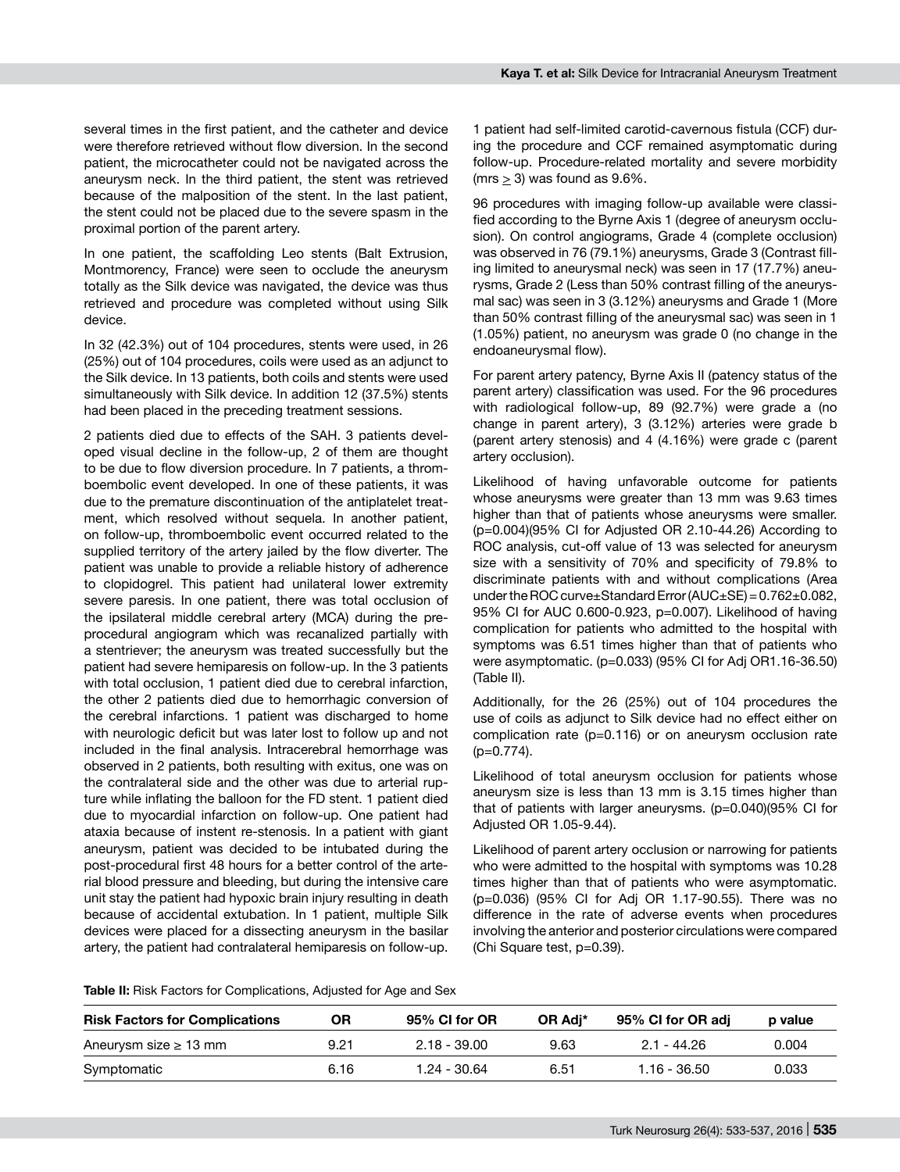several times in the first patient, and the catheter and device were therefore retrieved without flow diversion. In the second patient, the microcatheter could not be navigated across the aneurysm neck. In the third patient, the stent was retrieved because of the malposition of the stent. In the last patient, the stent could not be placed due to the severe spasm in the proximal portion of the parent artery.

In one patient, the scaffolding Leo stents (Balt Extrusion, Montmorency, France) were seen to occlude the aneurysm totally as the Silk device was navigated, the device was thus retrieved and procedure was completed without using Silk device.

In 32 (42.3%) out of 104 procedures, stents were used, in 26 (25%) out of 104 procedures, coils were used as an adjunct to the Silk device. In 13 patients, both coils and stents were used simultaneously with Silk device. In addition 12 (37.5%) stents had been placed in the preceding treatment sessions.

2 patients died due to effects of the SAH. 3 patients developed visual decline in the follow-up, 2 of them are thought to be due to flow diversion procedure. In 7 patients, a thromboembolic event developed. In one of these patients, it was due to the premature discontinuation of the antiplatelet treatment, which resolved without sequela. In another patient, on follow-up, thromboembolic event occurred related to the supplied territory of the artery jailed by the flow diverter. The patient was unable to provide a reliable history of adherence to clopidogrel. This patient had unilateral lower extremity severe paresis. In one patient, there was total occlusion of the ipsilateral middle cerebral artery (MCA) during the preprocedural angiogram which was recanalized partially with a stentriever; the aneurysm was treated successfully but the patient had severe hemiparesis on follow-up. In the 3 patients with total occlusion, 1 patient died due to cerebral infarction, the other 2 patients died due to hemorrhagic conversion of the cerebral infarctions. 1 patient was discharged to home with neurologic deficit but was later lost to follow up and not included in the final analysis. Intracerebral hemorrhage was observed in 2 patients, both resulting with exitus, one was on the contralateral side and the other was due to arterial rupture while inflating the balloon for the FD stent. 1 patient died due to myocardial infarction on follow-up. One patient had ataxia because of instent re-stenosis. In a patient with giant aneurysm, patient was decided to be intubated during the post-procedural first 48 hours for a better control of the arterial blood pressure and bleeding, but during the intensive care unit stay the patient had hypoxic brain injury resulting in death because of accidental extubation. In 1 patient, multiple Silk devices were placed for a dissecting aneurysm in the basilar artery, the patient had contralateral hemiparesis on follow-up.

1 patient had self-limited carotid-cavernous fistula (CCF) during the procedure and CCF remained asymptomatic during follow-up. Procedure-related mortality and severe morbidity  $(mrs > 3)$  was found as  $9.6\%$ .

96 procedures with imaging follow-up available were classified according to the Byrne Axis 1 (degree of aneurysm occlusion). On control angiograms, Grade 4 (complete occlusion) was observed in 76 (79.1%) aneurysms, Grade 3 (Contrast filling limited to aneurysmal neck) was seen in 17 (17.7%) aneurysms, Grade 2 (Less than 50% contrast filling of the aneurysmal sac) was seen in 3 (3.12%) aneurysms and Grade 1 (More than 50% contrast filling of the aneurysmal sac) was seen in 1 (1.05%) patient, no aneurysm was grade 0 (no change in the endoaneurysmal flow).

For parent artery patency, Byrne Axis II (patency status of the parent artery) classification was used. For the 96 procedures with radiological follow-up, 89 (92.7%) were grade a (no change in parent artery), 3 (3.12%) arteries were grade b (parent artery stenosis) and 4 (4.16%) were grade c (parent artery occlusion).

Likelihood of having unfavorable outcome for patients whose aneurysms were greater than 13 mm was 9.63 times higher than that of patients whose aneurysms were smaller. (p=0.004)(95% CI for Adjusted OR 2.10-44.26) According to ROC analysis, cut-off value of 13 was selected for aneurysm size with a sensitivity of 70% and specificity of 79.8% to discriminate patients with and without complications (Area under the ROC curve $\pm$ Standard Error (AUC $\pm$ SE) = 0.762 $\pm$ 0.082, 95% CI for AUC 0.600-0.923, p=0.007). Likelihood of having complication for patients who admitted to the hospital with symptoms was 6.51 times higher than that of patients who were asymptomatic. (p=0.033) (95% CI for Adj OR1.16-36.50) (Table II).

Additionally, for the 26 (25%) out of 104 procedures the use of coils as adjunct to Silk device had no effect either on complication rate (p=0.116) or on aneurysm occlusion rate (p=0.774).

Likelihood of total aneurysm occlusion for patients whose aneurysm size is less than 13 mm is 3.15 times higher than that of patients with larger aneurysms. (p=0.040)(95% CI for Adjusted OR 1.05-9.44).

Likelihood of parent artery occlusion or narrowing for patients who were admitted to the hospital with symptoms was 10.28 times higher than that of patients who were asymptomatic. (p=0.036) (95% CI for Adj OR 1.17-90.55). There was no difference in the rate of adverse events when procedures involving the anterior and posterior circulations were compared (Chi Square test, p=0.39).

Table II: Risk Factors for Complications, Adjusted for Age and Sex

| <b>Risk Factors for Complications</b> | ΟR   | 95% CI for OR  | OR Adi* | 95% CI for OR adi | p value |
|---------------------------------------|------|----------------|---------|-------------------|---------|
| Aneurysm size $\geq$ 13 mm            | 9.21 | 2.18 - 39.00   | 9.63    | 2.1 - 44.26       | 0.004   |
| Symptomatic                           | 6.16 | $1.24 - 30.64$ | 6.51    | $1.16 - 36.50$    | 0.033   |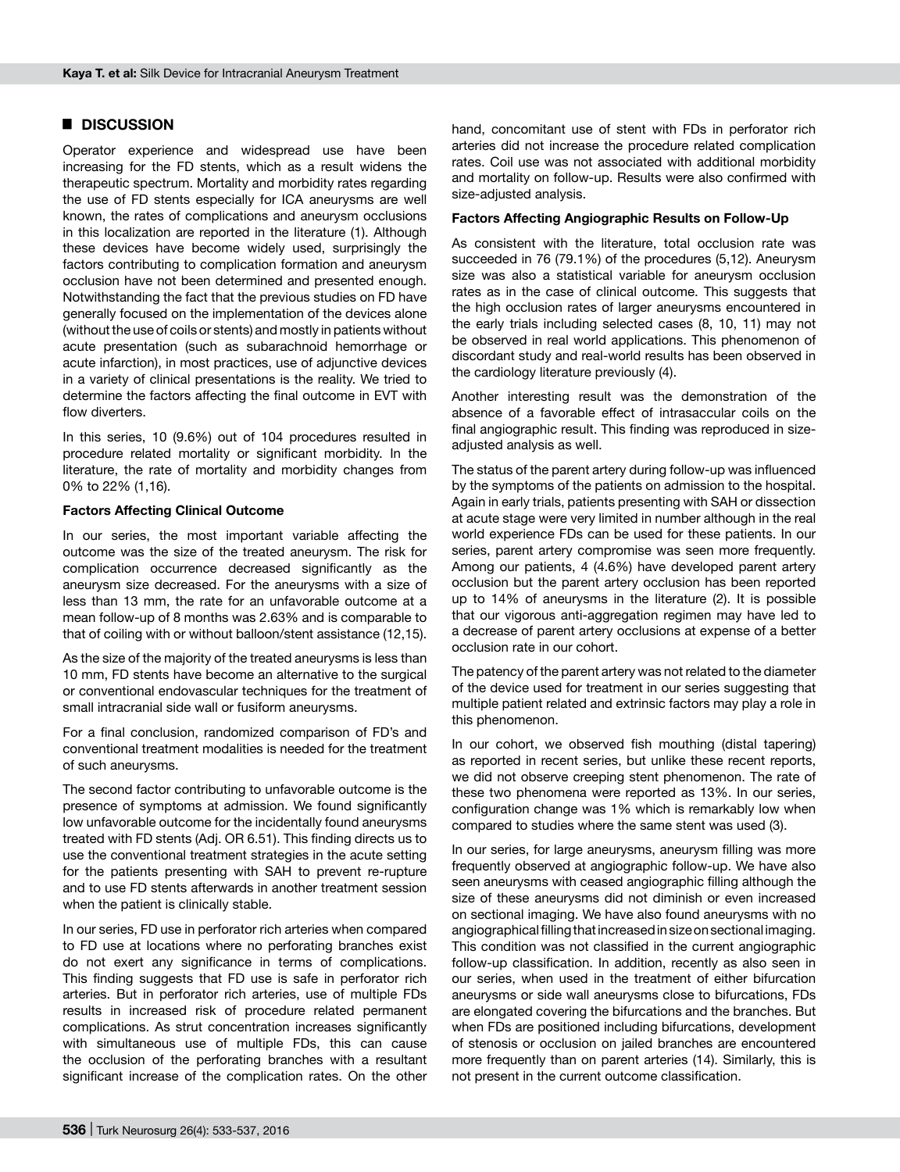## █ **DISCUSSION**

Operator experience and widespread use have been increasing for the FD stents, which as a result widens the therapeutic spectrum. Mortality and morbidity rates regarding the use of FD stents especially for ICA aneurysms are well known, the rates of complications and aneurysm occlusions in this localization are reported in the literature (1). Although these devices have become widely used, surprisingly the factors contributing to complication formation and aneurysm occlusion have not been determined and presented enough. Notwithstanding the fact that the previous studies on FD have generally focused on the implementation of the devices alone (without the use of coils or stents) and mostly in patients without acute presentation (such as subarachnoid hemorrhage or acute infarction), in most practices, use of adjunctive devices in a variety of clinical presentations is the reality. We tried to determine the factors affecting the final outcome in EVT with flow diverters.

In this series, 10 (9.6%) out of 104 procedures resulted in procedure related mortality or significant morbidity. In the literature, the rate of mortality and morbidity changes from 0% to 22% (1,16).

#### **Factors Affecting Clinical Outcome**

In our series, the most important variable affecting the outcome was the size of the treated aneurysm. The risk for complication occurrence decreased significantly as the aneurysm size decreased. For the aneurysms with a size of less than 13 mm, the rate for an unfavorable outcome at a mean follow-up of 8 months was 2.63% and is comparable to that of coiling with or without balloon/stent assistance (12,15).

As the size of the majority of the treated aneurysms is less than 10 mm, FD stents have become an alternative to the surgical or conventional endovascular techniques for the treatment of small intracranial side wall or fusiform aneurysms.

For a final conclusion, randomized comparison of FD's and conventional treatment modalities is needed for the treatment of such aneurysms.

The second factor contributing to unfavorable outcome is the presence of symptoms at admission. We found significantly low unfavorable outcome for the incidentally found aneurysms treated with FD stents (Adj. OR 6.51). This finding directs us to use the conventional treatment strategies in the acute setting for the patients presenting with SAH to prevent re-rupture and to use FD stents afterwards in another treatment session when the patient is clinically stable.

In our series, FD use in perforator rich arteries when compared to FD use at locations where no perforating branches exist do not exert any significance in terms of complications. This finding suggests that FD use is safe in perforator rich arteries. But in perforator rich arteries, use of multiple FDs results in increased risk of procedure related permanent complications. As strut concentration increases significantly with simultaneous use of multiple FDs, this can cause the occlusion of the perforating branches with a resultant significant increase of the complication rates. On the other

hand, concomitant use of stent with FDs in perforator rich arteries did not increase the procedure related complication rates. Coil use was not associated with additional morbidity and mortality on follow-up. Results were also confirmed with size-adjusted analysis.

#### **Factors Affecting Angiographic Results on Follow-Up**

As consistent with the literature, total occlusion rate was succeeded in 76 (79.1%) of the procedures (5,12). Aneurysm size was also a statistical variable for aneurysm occlusion rates as in the case of clinical outcome. This suggests that the high occlusion rates of larger aneurysms encountered in the early trials including selected cases (8, 10, 11) may not be observed in real world applications. This phenomenon of discordant study and real-world results has been observed in the cardiology literature previously (4).

Another interesting result was the demonstration of the absence of a favorable effect of intrasaccular coils on the final angiographic result. This finding was reproduced in sizeadjusted analysis as well.

The status of the parent artery during follow-up was influenced by the symptoms of the patients on admission to the hospital. Again in early trials, patients presenting with SAH or dissection at acute stage were very limited in number although in the real world experience FDs can be used for these patients. In our series, parent artery compromise was seen more frequently. Among our patients, 4 (4.6%) have developed parent artery occlusion but the parent artery occlusion has been reported up to 14% of aneurysms in the literature (2). It is possible that our vigorous anti-aggregation regimen may have led to a decrease of parent artery occlusions at expense of a better occlusion rate in our cohort.

The patency of the parent artery was not related to the diameter of the device used for treatment in our series suggesting that multiple patient related and extrinsic factors may play a role in this phenomenon.

In our cohort, we observed fish mouthing (distal tapering) as reported in recent series, but unlike these recent reports, we did not observe creeping stent phenomenon. The rate of these two phenomena were reported as 13%. In our series, configuration change was 1% which is remarkably low when compared to studies where the same stent was used (3).

In our series, for large aneurysms, aneurysm filling was more frequently observed at angiographic follow-up. We have also seen aneurysms with ceased angiographic filling although the size of these aneurysms did not diminish or even increased on sectional imaging. We have also found aneurysms with no angiographical filling that increased in size on sectional imaging. This condition was not classified in the current angiographic follow-up classification. In addition, recently as also seen in our series, when used in the treatment of either bifurcation aneurysms or side wall aneurysms close to bifurcations, FDs are elongated covering the bifurcations and the branches. But when FDs are positioned including bifurcations, development of stenosis or occlusion on jailed branches are encountered more frequently than on parent arteries (14). Similarly, this is not present in the current outcome classification.